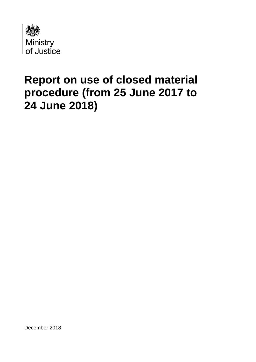

# **Report on use of closed material procedure (from 25 June 2017 to 24 June 2018)**

December 2018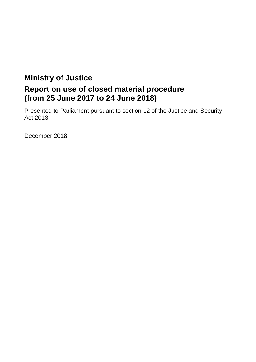# **Ministry of Justice Report on use of closed material procedure (from 25 June 2017 to 24 June 2018)**

Presented to Parliament pursuant to section 12 of the Justice and Security Act 2013

December 2018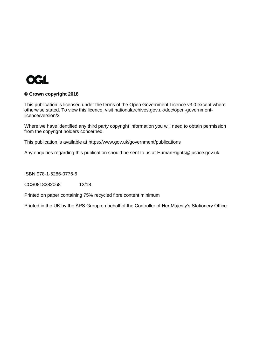

#### **© Crown copyright 2018**

This publication is licensed under the terms of the Open Government Licence v3.0 except where otherwise stated. To view this licence, visit [nationalarchives.gov.uk/doc/open-government](http://nationalarchives.gov.uk/doc/open-government-licence/version/3/)[licence/version/3](http://nationalarchives.gov.uk/doc/open-government-licence/version/3/)

Where we have identified any third party copyright information you will need to obtain permission from the copyright holders concerned.

This publication is available at<https://www.gov.uk/government/publications>

Any enquiries regarding this publication should be sent to us at [HumanRights@justice.gov.uk](mailto:HumanRights@justice.gov.uk)

ISBN 978-1-5286-0776-6

CCS0818382068 12/18

Printed on paper containing 75% recycled fibre content minimum

Printed in the UK by the APS Group on behalf of the Controller of Her Majesty's Stationery Office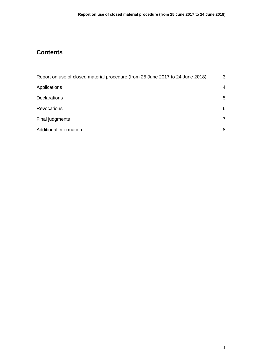#### **Contents**

| Report on use of closed material procedure (from 25 June 2017 to 24 June 2018) | 3              |
|--------------------------------------------------------------------------------|----------------|
| Applications                                                                   | $\overline{4}$ |
| <b>Declarations</b>                                                            | 5              |
| <b>Revocations</b>                                                             | 6              |
| Final judgments                                                                | $\overline{7}$ |
| Additional information                                                         | 8              |
|                                                                                |                |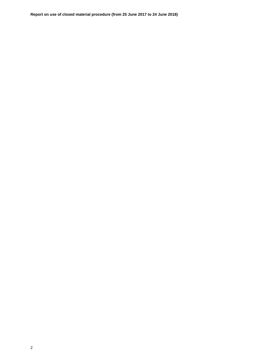**Report on use of closed material procedure (from 25 June 2017 to 24 June 2018)**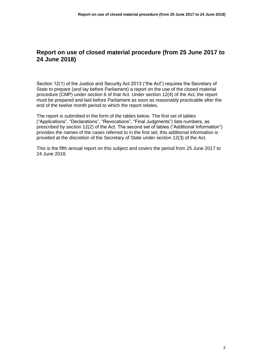#### **Report on use of closed material procedure (from 25 June 2017 to 24 June 2018)**

Section 12(1) of the Justice and Security Act 2013 ("the Act") requires the Secretary of State to prepare (and lay before Parliament) a report on the use of the closed material procedure (CMP) under section 6 of that Act. Under section 12(4) of the Act, the report must be prepared and laid before Parliament as soon as reasonably practicable after the end of the twelve month period to which the report relates.

The report is submitted in the form of the tables below. The first set of tables ("Applications", "Declarations", "Revocations", "Final Judgments") lists numbers, as prescribed by section 12(2) of the Act. The second set of tables ("Additional Information") provides the names of the cases referred to in the first set; this additional information is provided at the discretion of the Secretary of State under section 12(3) of the Act.

This is the fifth annual report on this subject and covers the period from 25 June 2017 to 24 June 2018.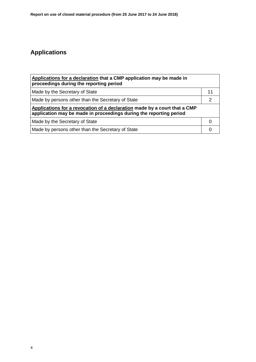# **Applications**

| Applications for a declaration that a CMP application may be made in<br>proceedings during the reporting period                                 |  |  |
|-------------------------------------------------------------------------------------------------------------------------------------------------|--|--|
| Made by the Secretary of State                                                                                                                  |  |  |
| Made by persons other than the Secretary of State                                                                                               |  |  |
| Applications for a revocation of a declaration made by a court that a CMP<br>application may be made in proceedings during the reporting period |  |  |
| Made by the Secretary of State                                                                                                                  |  |  |
| Made by persons other than the Secretary of State                                                                                               |  |  |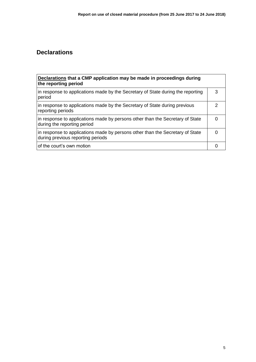#### **Declarations**

| <b>Declarations that a CMP application may be made in proceedings during</b><br>the reporting period               |    |
|--------------------------------------------------------------------------------------------------------------------|----|
| in response to applications made by the Secretary of State during the reporting<br>period                          |    |
| in response to applications made by the Secretary of State during previous<br>reporting periods                    | כי |
| in response to applications made by persons other than the Secretary of State<br>during the reporting period       |    |
| in response to applications made by persons other than the Secretary of State<br>during previous reporting periods |    |
| of the court's own motion                                                                                          |    |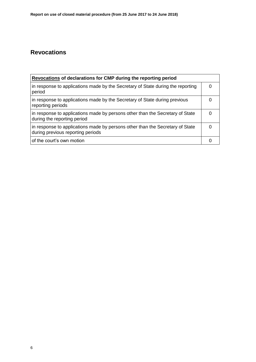### **Revocations**

| Revocations of declarations for CMP during the reporting period                                                    |  |  |
|--------------------------------------------------------------------------------------------------------------------|--|--|
| in response to applications made by the Secretary of State during the reporting<br>period                          |  |  |
| in response to applications made by the Secretary of State during previous<br>reporting periods                    |  |  |
| in response to applications made by persons other than the Secretary of State<br>during the reporting period       |  |  |
| in response to applications made by persons other than the Secretary of State<br>during previous reporting periods |  |  |
| of the court's own motion                                                                                          |  |  |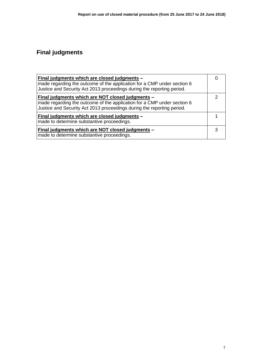# **Final judgments**

| Final judgments which are closed judgments -<br>made regarding the outcome of the application for a CMP under section 6<br>Justice and Security Act 2013 proceedings during the reporting period.     |  |
|-------------------------------------------------------------------------------------------------------------------------------------------------------------------------------------------------------|--|
| Final judgments which are NOT closed judgments -<br>made regarding the outcome of the application for a CMP under section 6<br>Justice and Security Act 2013 proceedings during the reporting period. |  |
| Final judgments which are closed judgments -<br>made to determine substantive proceedings.                                                                                                            |  |
| Final judgments which are NOT closed judgments -<br>made to determine substantive proceedings.                                                                                                        |  |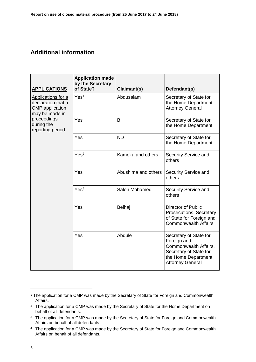#### **Additional information**

| <b>APPLICATIONS</b>                                                                                                                          | <b>Application made</b><br>by the Secretary<br>of State? | Claimant(s)         | Defendant(s)                                                                                                                                |
|----------------------------------------------------------------------------------------------------------------------------------------------|----------------------------------------------------------|---------------------|---------------------------------------------------------------------------------------------------------------------------------------------|
| <b>Applications for a</b><br>declaration that a<br><b>CMP</b> application<br>may be made in<br>proceedings<br>during the<br>reporting period | Yes <sup>1</sup>                                         | Abdusalam           | Secretary of State for<br>the Home Department,<br><b>Attorney General</b>                                                                   |
|                                                                                                                                              | Yes                                                      | B                   | Secretary of State for<br>the Home Department                                                                                               |
|                                                                                                                                              | Yes                                                      | <b>ND</b>           | Secretary of State for<br>the Home Department                                                                                               |
|                                                                                                                                              | Yes <sup>2</sup>                                         | Kamoka and others   | Security Service and<br>others                                                                                                              |
|                                                                                                                                              | Yes <sup>3</sup>                                         | Abushima and others | Security Service and<br>others                                                                                                              |
|                                                                                                                                              | Yes <sup>4</sup>                                         | Saleh Mohamed       | Security Service and<br>others                                                                                                              |
|                                                                                                                                              | Yes                                                      | Belhaj              | <b>Director of Public</b><br>Prosecutions, Secretary<br>of State for Foreign and<br><b>Commonwealth Affairs</b>                             |
|                                                                                                                                              | Yes                                                      | Abdule              | Secretary of State for<br>Foreign and<br>Commonwealth Affairs,<br>Secretary of State for<br>the Home Department,<br><b>Attorney General</b> |

<sup>&</sup>lt;sup>1</sup> The application for a CMP was made by the Secretary of State for Foreign and Commonwealth Affairs.

<sup>&</sup>lt;sup>2</sup> The application for a CMP was made by the Secretary of State for the Home Department on behalf of all defendants.

<sup>&</sup>lt;sup>3</sup> The application for a CMP was made by the Secretary of State for Foreign and Commonwealth Affairs on behalf of all defendants.

<sup>&</sup>lt;sup>4</sup> The application for a CMP was made by the Secretary of State for Foreign and Commonwealth Affairs on behalf of all defendants.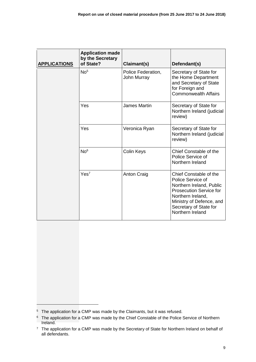| <b>APPLICATIONS</b> | <b>Application made</b><br>by the Secretary<br>of State? | Claimant(s)                       | Defendant(s)                                                                                                                                                                                             |
|---------------------|----------------------------------------------------------|-----------------------------------|----------------------------------------------------------------------------------------------------------------------------------------------------------------------------------------------------------|
|                     | No <sup>5</sup>                                          | Police Federation,<br>John Murray | Secretary of State for<br>the Home Department<br>and Secretary of State<br>for Foreign and<br><b>Commonwealth Affairs</b>                                                                                |
|                     | Yes                                                      | <b>James Martin</b>               | Secretary of State for<br>Northern Ireland (judicial<br>review)                                                                                                                                          |
|                     | Yes                                                      | Veronica Ryan                     | Secretary of State for<br>Northern Ireland (judicial<br>review)                                                                                                                                          |
|                     | No <sup>6</sup>                                          | Colin Keys                        | Chief Constable of the<br>Police Service of<br>Northern Ireland                                                                                                                                          |
|                     | Yes <sup>7</sup>                                         | <b>Anton Craig</b>                | Chief Constable of the<br>Police Service of<br>Northern Ireland, Public<br><b>Prosecution Service for</b><br>Northern Ireland,<br>Ministry of Defence, and<br>Secretary of State for<br>Northern Ireland |

|<br>|-

<sup>&</sup>lt;sup>5</sup> The application for a CMP was made by the Claimants, but it was refused.

<sup>&</sup>lt;sup>6</sup> The application for a CMP was made by the Chief Constable of the Police Service of Northern Ireland.

<sup>&</sup>lt;sup>7</sup> The application for a CMP was made by the Secretary of State for Northern Ireland on behalf of all defendants.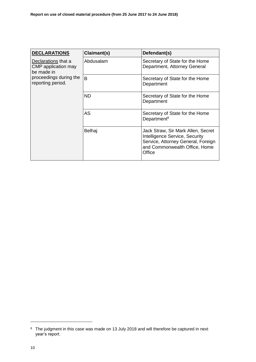| <b>DECLARATIONS</b>                                                                                     | Claimant(s)  | Defendant(s)                                                                                                                                          |
|---------------------------------------------------------------------------------------------------------|--------------|-------------------------------------------------------------------------------------------------------------------------------------------------------|
| Declarations that a<br>CMP application may<br>be made in<br>proceedings during the<br>reporting period. | Abdusalam    | Secretary of State for the Home<br>Department, Attorney General                                                                                       |
|                                                                                                         | <sub>B</sub> | Secretary of State for the Home<br>Department                                                                                                         |
|                                                                                                         | <b>ND</b>    | Secretary of State for the Home<br>Department                                                                                                         |
|                                                                                                         | <b>AS</b>    | Secretary of State for the Home<br>Department <sup>8</sup>                                                                                            |
|                                                                                                         | Belhaj       | Jack Straw, Sir Mark Allen, Secret<br>Intelligence Service, Security<br>Service, Attorney General, Foreign<br>and Commonwealth Office, Home<br>Office |

<sup>&</sup>lt;sup>8</sup> The judgment in this case was made on 13 July 2018 and will therefore be captured in next year's report.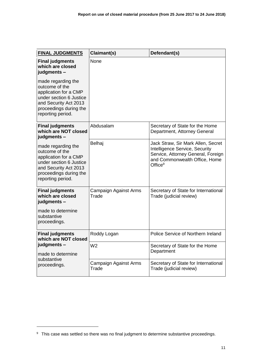| <b>FINAL JUDGMENTS</b>                                                                                                                                           | Claimant(s)                           | Defendant(s)                                                                                                                                                       |
|------------------------------------------------------------------------------------------------------------------------------------------------------------------|---------------------------------------|--------------------------------------------------------------------------------------------------------------------------------------------------------------------|
| <b>Final judgments</b><br>which are closed<br>judgments-                                                                                                         | None                                  |                                                                                                                                                                    |
| made regarding the<br>outcome of the<br>application for a CMP<br>under section 6 Justice<br>and Security Act 2013<br>proceedings during the<br>reporting period. |                                       |                                                                                                                                                                    |
| <b>Final judgments</b><br>which are NOT closed<br>judgments-                                                                                                     | Abdusalam                             | Secretary of State for the Home<br>Department, Attorney General                                                                                                    |
| made regarding the<br>outcome of the<br>application for a CMP<br>under section 6 Justice<br>and Security Act 2013<br>proceedings during the<br>reporting period. | Belhaj                                | Jack Straw, Sir Mark Allen, Secret<br>Intelligence Service, Security<br>Service, Attorney General, Foreign<br>and Commonwealth Office, Home<br>Office <sup>9</sup> |
| <b>Final judgments</b><br>which are closed<br>judgments-<br>made to determine<br>substantive<br>proceedings.                                                     | <b>Campaign Against Arms</b><br>Trade | Secretary of State for International<br>Trade (judicial review)                                                                                                    |
| <b>Final judgments</b><br>which are NOT closed                                                                                                                   | Roddy Logan                           | Police Service of Northern Ireland                                                                                                                                 |
| judgments-<br>made to determine<br>substantive<br>proceedings.                                                                                                   | W <sub>2</sub>                        | Secretary of State for the Home<br>Department                                                                                                                      |
|                                                                                                                                                                  | Campaign Against Arms<br>Trade        | Secretary of State for International<br>Trade (judicial review)                                                                                                    |

1

<sup>&</sup>lt;sup>9</sup> This case was settled so there was no final judgment to determine substantive proceedings.